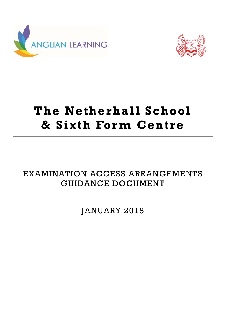



# **The Netherhall School & Sixth For m Centre**

# EXAMINATION ACCESS ARRANGEMENTS GUIDANCE DOCUMENT

JANUARY 2018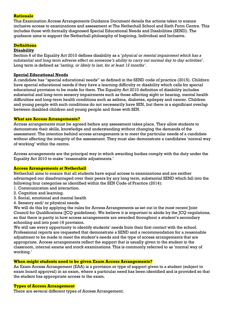#### **Rationale**

This Examination Access Arrangements Guidance Document details the actions taken to ensure inclusive access to examinations and assessment at The Netherhall School and Sixth Form Centre. This includes those with formally diagnosed Special Educational Needs and Disabilities (SEND). The guidance aims to support the Netherhall philosophy of Inspiring, Individual and Inclusive.

# **Definitions**

# **Disability**

Section 6 of the Equality Act 2010 defines disability as a '*physical or mental impairment which has a substantial and long term adverse effect on someone's ability to carry out normal day to day activities'*. Long term is defined as '*lasting, or likely to last, for at least 12 months'*.

# **Special Educational Needs**

A candidate has "special educational needs" as defined in the SEND code of practice (2015). Children have special educational needs if they have a learning difficulty or disability which calls for special educational provision to be made for them. The Equality Act 2010 definition of disability includes substantial and long-term sensory impairments such as those affecting sight or hearing, mental health difficulties and long-term health conditions such as asthma, diabetes, epilepsy and cancer. Children and young people with such conditions do not necessarily have SEN, but there is a significant overlap between disabled children and young people and those with SEN.

#### **What are Access Arrangements?**

Access arrangements must be agreed before any assessment takes place. They allow students to demonstrate their skills, knowledge and understanding without changing the demands of the assessment. The intention behind access arrangements is to meet the particular needs of a candidate without affecting the integrity of the assessment. They must also demonstrate a candidates 'normal way of working' within the centre.

Access arrangements are the principal way in which awarding bodies comply with the duty under the Equality Act 2010 to make 'reasonable adjustments.'

# **Access Arrangements at Netherhall**

Netherhall aims to ensure that all students have equal access to examinations and are neither advantaged nor disadvantaged over their peers by any long term, substantial SEND which fall into the following four categories as identified within the SEN Code of Practice (2014):

- 1. Communication and interaction.
- 2. Cognition and learning.
- 3. Social, emotional and mental health
- 4. Sensory and/ or physical needs.

We will do this by applying the rules for Access Arrangements as set out in the most recent Joint Council for Qualifications (JCQ guidelines). We believe it is important to abide by the JCQ regulations, so that there is parity in how access arrangements are awarded throughout a student's secondary schooling and into post-16 provision.

We will use every opportunity to identify students' needs from their first contact with the school. Professional reports are requested that demonstrate a SEND and a recommendation for a reasonable adjustment to be made to meet the student's needs and the type of access arrangements that are appropriate. Access arrangements reflect the support that is usually given to the student in the classroom, internal exams and mock examinations. This is commonly referred to as 'normal way of working.'

# **When might students need to be given Exam Access Arrangements?**

An Exam Access Arrangement (EAA) is a provision or type of support given to a student (subject to exam board approval) in an exam, where a particular need has been identified and is provided so that the student has appropriate access to the exam.

#### **Types of Access Arrangement**

There are several different types of Access Arrangement;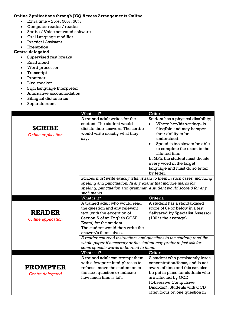# **Online Applications through JCQ Access Arrangements Online**

- **•** Extra time  $-25%$ , 50%, 50% +
- Computer reader / reader
- Scribe / Voice activated software
- Oral Language modifier
- Practical Assistant
- Exemption

# **Centre delegated**

- Supervised rest breaks
- Read aloud
- Word processor
- Transcript
- Prompter
- Live speaker
- Sign Language Interpreter
- Alternative accommodation
- Bilingual dictionaries
- Separate room

|                                            | What is it?                                                                                                                                                                                                          | Criteria                                                                                                                                                                                                                                                                                                                                         |
|--------------------------------------------|----------------------------------------------------------------------------------------------------------------------------------------------------------------------------------------------------------------------|--------------------------------------------------------------------------------------------------------------------------------------------------------------------------------------------------------------------------------------------------------------------------------------------------------------------------------------------------|
| <b>SCRIBE</b><br><b>Online application</b> | A trained adult writes for the<br>student. The student would<br>dictate their answers. The scribe<br>would write exactly what they<br>say.                                                                           | Student has a physical disability;<br>Where her/his writing:- is<br>illegible and may hamper<br>their ability to be<br>understood.<br>Speed is too slow to be able<br>$\bullet$<br>to complete the exam in the<br>allotted time.<br>In MFL, the student must dictate<br>every word in the target<br>language and must do so letter<br>by letter. |
|                                            | spelling and punctuation. In any exams that include marks for<br>spelling, punctuation and grammar, a student would score 0 for any                                                                                  | Scribes must write exactly what is said to them in such cases, including                                                                                                                                                                                                                                                                         |
|                                            | such marks.                                                                                                                                                                                                          |                                                                                                                                                                                                                                                                                                                                                  |
|                                            | What is it?                                                                                                                                                                                                          | Criteria                                                                                                                                                                                                                                                                                                                                         |
| <b>READER</b><br><b>Online application</b> | A trained adult who would read<br>the question and any relevant<br>text (with the exception of<br>Section A of an English GCSE<br>Exam) for the student.<br>The student would then write the<br>answer/s themselves. | A student has a standardised<br>score of 84 or below in a test<br>delivered by Specialist Assessor<br>$(100 \text{ is the average}).$                                                                                                                                                                                                            |
|                                            | A reader can read instructions and questions to the student; read the<br>whole paper if necessary or the student may prefer to just ask for<br>some specific words to be read to them.                               |                                                                                                                                                                                                                                                                                                                                                  |
|                                            | What is it?                                                                                                                                                                                                          | Criteria                                                                                                                                                                                                                                                                                                                                         |
| <b>PROMPTER</b><br>Centre delegated        | A trained adult can prompt them<br>with a few permitted phrases to<br>refocus, move the student on to<br>the next question or indicate<br>how much time is left.                                                     | A student who persistently loses<br>concentration/focus, and is not<br>aware of time and this can also<br>be put in place for students who<br>are affected by OCD<br>(Obsessive Compulsive                                                                                                                                                       |
|                                            |                                                                                                                                                                                                                      | Disorder). Students with OCD<br>often focus on one question in                                                                                                                                                                                                                                                                                   |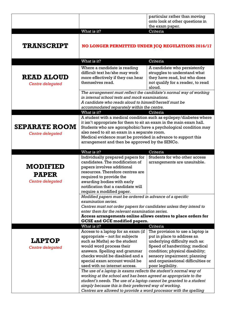|                         |                                                                                                                                        | particular rather than moving                                  |
|-------------------------|----------------------------------------------------------------------------------------------------------------------------------------|----------------------------------------------------------------|
|                         |                                                                                                                                        | onto look at other questions in<br>the exam paper.             |
|                         | What is it?                                                                                                                            | Criteria                                                       |
|                         |                                                                                                                                        |                                                                |
|                         |                                                                                                                                        |                                                                |
| <b>TRANSCRIPT</b>       | NO LONGER PERMITTED UNDER JCQ REGULATIONS 2016/17                                                                                      |                                                                |
|                         |                                                                                                                                        |                                                                |
|                         | What is it?                                                                                                                            | Criteria                                                       |
|                         | Where a candidate is reading                                                                                                           | A candidate who persistently                                   |
|                         | difficult text he/she may work                                                                                                         | struggles to understand what                                   |
| <b>READ ALOUD</b>       | more effectively if they can hear                                                                                                      | they have read, but who does                                   |
| <b>Centre delegated</b> | themselves read.                                                                                                                       | not qualify for a reader, to read                              |
|                         |                                                                                                                                        | aloud.                                                         |
|                         | The arrangement must reflect the candidate's normal way of working<br>in internal school tests and mock examinations.                  |                                                                |
|                         | A candidate who reads aloud to himself/herself must be                                                                                 |                                                                |
|                         | accommodated separately within the centre.                                                                                             |                                                                |
|                         | What is it?                                                                                                                            | Criteria                                                       |
|                         | A student with a medical condition such as epilepsy/diabetes where                                                                     |                                                                |
| <b>SEPARATE ROOM</b>    | it isn't appropriate for them to sit an exam in the main exam hall.<br>Students who are agoraphobic/have a psychological condition may |                                                                |
| Centre delegated        | also need to sit an exam in a separate room.                                                                                           |                                                                |
|                         | Medical evidence must be provided in advance to support this<br>arrangement and then be approved by the SENCo.                         |                                                                |
|                         |                                                                                                                                        |                                                                |
|                         | What is it?                                                                                                                            | Criteria                                                       |
|                         | Individually prepared papers for                                                                                                       | Students for who other access                                  |
|                         | candidates. The modification of                                                                                                        | arrangements are unsuitable.                                   |
| <b>MODIFIED</b>         | papers involves additional                                                                                                             |                                                                |
| <b>PAPER</b>            | resources. Therefore centres are                                                                                                       |                                                                |
| Centre delegated        | required to provide the<br>awarding bodies with early                                                                                  |                                                                |
|                         | notification that a candidate will                                                                                                     |                                                                |
|                         | require a modified paper.                                                                                                              |                                                                |
|                         | Modified papers must be ordered in advance of a specific                                                                               |                                                                |
|                         | examination series.                                                                                                                    |                                                                |
|                         | Centres must not order papers for candidates unless they intend to<br>enter them for the relevant examination series.                  |                                                                |
|                         | Access arrangements online allows centres to place orders for                                                                          |                                                                |
|                         | <b>GCSE and GCE modified papers.</b>                                                                                                   |                                                                |
|                         | What is it?                                                                                                                            | Criteria                                                       |
|                         | Access to a laptop for an exam (if<br>appropriate – not for subjects                                                                   | The provision to use a laptop is<br>put in place to address an |
| <b>LAPTOP</b>           | such as Maths) so the student                                                                                                          | underlying difficulty such as:                                 |
| <b>Centre delegated</b> | would word process their                                                                                                               | Speed of handwriting; medical                                  |
|                         | answers. Spelling and grammar                                                                                                          | condition; physical disability;                                |
|                         | checks would be disabled and a                                                                                                         | sensory impairment; planning                                   |
|                         | special exam account would be<br>used with no internet access.                                                                         | and organisational difficulties or<br>poor legibility.         |
|                         | The use of a laptop in exams reflects the student's normal way of                                                                      |                                                                |
|                         | working at the school and has been agreed as appropriate to the                                                                        |                                                                |
|                         | student's needs. The use of a laptop cannot be granted to a student                                                                    |                                                                |
|                         | simply because this is their preferred way of working.                                                                                 |                                                                |
|                         | Centres are allowed to provide a word processor with the spelling                                                                      |                                                                |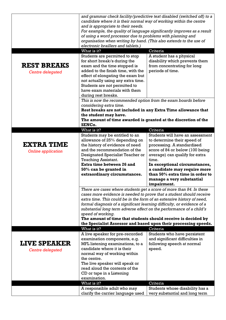|                           | and grammar check facility/predictive text disabled (switched off) to a                |                                                                             |
|---------------------------|----------------------------------------------------------------------------------------|-----------------------------------------------------------------------------|
|                           | candidate where it is their normal way of working within the centre                    |                                                                             |
|                           | and is appropriate to their needs.                                                     |                                                                             |
|                           | For example, the quality of language significantly improves as a result                |                                                                             |
|                           | of using a word processor due to problems with planning and                            |                                                                             |
|                           | organisation when writing by hand. (This also extends to the use of                    |                                                                             |
|                           | electronic braillers and tablets.)                                                     |                                                                             |
|                           | What is it?                                                                            | Criteria                                                                    |
|                           | Students are permitted to stop                                                         | A student has a physical                                                    |
|                           | for short break/s during the                                                           | disability which prevents them                                              |
| <b>REST BREAKS</b>        | exam and the time stopped is                                                           | from concentrating for long                                                 |
| <b>Centre delegated</b>   | added to the finish time, with the                                                     | periods of time.                                                            |
|                           | effect of elongating the exam but<br>not actually using any extra time.                |                                                                             |
|                           | Students are not permitted to                                                          |                                                                             |
|                           | have exam materials with them                                                          |                                                                             |
|                           | during rest breaks.                                                                    |                                                                             |
|                           | This is now the recommended option from the exam boards before                         |                                                                             |
|                           | considering extra time.                                                                |                                                                             |
|                           | Rest breaks are not included in any Extra Time allowance that<br>the student may have. |                                                                             |
|                           |                                                                                        |                                                                             |
|                           | The amount of time awarded is granted at the discretion of the                         |                                                                             |
|                           | SENCo.                                                                                 |                                                                             |
|                           | What is it?                                                                            | Criteria                                                                    |
|                           | Students may be entitled to an                                                         | Students will have an assessment                                            |
|                           | allowance of 25% depending on                                                          | to determine their speed of                                                 |
| <b>EXTRA TIME</b>         | the history of evidence of need                                                        | processing. A standardised                                                  |
| <b>Online application</b> | and the recommendation of the                                                          | score of 84 or below (100 being                                             |
|                           | Designated Specialist Teacher or                                                       | average) can qualify for extra<br>time.                                     |
|                           | <b>Teaching Assistant.</b><br>Extra time between 26 and                                | In exceptional circumstances,                                               |
|                           | 50% can be granted in                                                                  | a candidate may require more                                                |
|                           | extraordinary circumstances.                                                           | than 50% extra time in order to                                             |
|                           |                                                                                        | manage a very substantial                                                   |
|                           |                                                                                        | impairment.                                                                 |
|                           | There are cases where students get a score of more than 84. In these                   |                                                                             |
|                           | cases more evidence is needed to prove that a student should receive                   |                                                                             |
|                           | extra time. This could be in the form of an extensive history of need,                 |                                                                             |
|                           | formal diagnosis of a significant learning difficulty, or evidence of a                |                                                                             |
|                           | substantial long term adverse effect on the performance of a child's                   |                                                                             |
|                           | speed of working.                                                                      |                                                                             |
|                           | The amount of time that students should receive is decided by                          |                                                                             |
|                           | What is it?                                                                            | the Specialist Assessor and based upon their processing speeds.<br>Criteria |
|                           | A live speaker for pre-recorded                                                        | Students who have persistent                                                |
|                           | examination components, e.g.                                                           | and significant difficulties in                                             |
| <b>LIVE SPEAKER</b>       | MFL listening examinations, to a                                                       | following speech at normal                                                  |
| <b>Centre delegated</b>   | candidate where it is their                                                            | speed.                                                                      |
|                           | normal way of working within                                                           |                                                                             |
|                           | the centre.                                                                            |                                                                             |
|                           | The live speaker will speak or                                                         |                                                                             |
|                           | read aloud the contents of the                                                         |                                                                             |
|                           | CD or tape in a Listening                                                              |                                                                             |
|                           | examination.                                                                           |                                                                             |
|                           |                                                                                        | Criteria                                                                    |
|                           | What is it?                                                                            |                                                                             |
|                           | A responsible adult who may<br>clarify the carrier language used                       | Students whose disability has a<br>very substantial and long term           |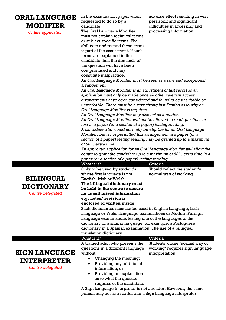| <b>ORAL LANGUAGE</b>      | in the examination paper when                                                                                                          | adverse effect resulting in very          |
|---------------------------|----------------------------------------------------------------------------------------------------------------------------------------|-------------------------------------------|
|                           | requested to do so by a                                                                                                                | persistent and significant                |
| <b>MODIFIER</b>           | candidate.                                                                                                                             | difficulties in accessing and             |
| <b>Online application</b> | The Oral Language Modifier                                                                                                             | processing information.                   |
|                           | must not explain technical terms                                                                                                       |                                           |
|                           | or subject specific terms. The                                                                                                         |                                           |
|                           | ability to understand these terms                                                                                                      |                                           |
|                           | is part of the assessment. If such                                                                                                     |                                           |
|                           | terms are explained to the<br>candidate then the demands of                                                                            |                                           |
|                           | the question will have been                                                                                                            |                                           |
|                           | compromised and may                                                                                                                    |                                           |
|                           | constitute malpractice.                                                                                                                |                                           |
|                           | An Oral Language Modifier must be seen as a rare and exceptional                                                                       |                                           |
|                           | arrangement.                                                                                                                           |                                           |
|                           | An Oral Language Modifier is an adjustment of last resort so an                                                                        |                                           |
|                           | application must only be made once all other relevant access                                                                           |                                           |
|                           | arrangements have been considered and found to be unsuitable or                                                                        |                                           |
|                           | unworkable. There must be a very strong justification as to why an                                                                     |                                           |
|                           | Oral Language Modifier is required.                                                                                                    |                                           |
|                           | An Oral Language Modifier may also act as a reader.                                                                                    |                                           |
|                           | An Oral Language Modifier will not be allowed to read questions or                                                                     |                                           |
|                           | text in a paper (or a section of a paper) testing reading.                                                                             |                                           |
|                           | A candidate who would normally be eligible for an Oral Language                                                                        |                                           |
|                           | Modifier, but is not permitted this arrangement in a paper (or a<br>section of a paper) testing reading may be granted up to a maximum |                                           |
|                           | of 50% extra time.                                                                                                                     |                                           |
|                           | An approved application for an Oral Language Modifier will allow the                                                                   |                                           |
|                           | centre to grant the candidate up to a maximum of 50% extra time in a                                                                   |                                           |
|                           | paper (or a section of a paper) testing reading.                                                                                       |                                           |
|                           | What is it?                                                                                                                            | Criteria                                  |
|                           | Only to be used by student's                                                                                                           | Should reflect the student's              |
|                           | whose first language is not                                                                                                            | normal way of working.                    |
| <b>BILINGUAL</b>          | English, Irish or Welsh.                                                                                                               |                                           |
| <b>DICTIONARY</b>         | The bilingual dictionary must<br>be held in the centre to ensure                                                                       |                                           |
| Centre delegated          | no unauthorised information                                                                                                            |                                           |
|                           | e.g. notes/revision is                                                                                                                 |                                           |
|                           | enclosed or written inside.                                                                                                            |                                           |
|                           | Such dictionaries must not be used in English Language, Irish                                                                          |                                           |
|                           | Language or Welsh Language examinations or Modern Foreign                                                                              |                                           |
|                           | Language examinations testing one of the languages of the                                                                              |                                           |
|                           | dictionary or a similar language, for example, a Portuguese                                                                            |                                           |
|                           | dictionary in a Spanish examination. The use of a bilingual                                                                            |                                           |
|                           | translation dictionary.                                                                                                                |                                           |
|                           | What is it?<br>A trained adult who presents the                                                                                        | Criteria<br>Students whose 'normal way of |
|                           | questions in a different language                                                                                                      | working' requires sign language           |
| <b>SIGN LANGUAGE</b>      | without:                                                                                                                               | interpretation.                           |
|                           | Changing the meaning;                                                                                                                  |                                           |
| <b>INTERPRETER</b>        | Providing any additional                                                                                                               |                                           |
| Centre delegated          | information; or                                                                                                                        |                                           |
|                           | Providing an explanation<br>$\bullet$                                                                                                  |                                           |
|                           | as to what the question                                                                                                                |                                           |
|                           | requires of the candidate.                                                                                                             |                                           |
|                           | A Sign Language Interpreter is not a reader. However, the same                                                                         |                                           |
|                           | person may act as a reader and a Sign Language Interpreter.                                                                            |                                           |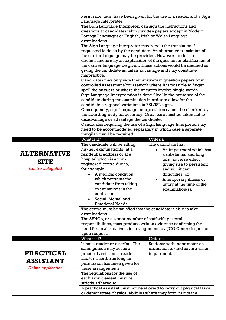|                           | Permission must have been given for the use of a reader and a Sign                                                                                                                                                                                                                                                                                     |                                            |
|---------------------------|--------------------------------------------------------------------------------------------------------------------------------------------------------------------------------------------------------------------------------------------------------------------------------------------------------------------------------------------------------|--------------------------------------------|
|                           | Language Interpreter.                                                                                                                                                                                                                                                                                                                                  |                                            |
|                           | The Sign Language Interpreter can sign the instructions and                                                                                                                                                                                                                                                                                            |                                            |
|                           | questions to candidates taking written papers except in Modern                                                                                                                                                                                                                                                                                         |                                            |
|                           | Foreign Languages or English, Irish or Welsh Language                                                                                                                                                                                                                                                                                                  |                                            |
|                           | examinations.                                                                                                                                                                                                                                                                                                                                          |                                            |
|                           | The Sign Language Interpreter may repeat the translation if                                                                                                                                                                                                                                                                                            |                                            |
|                           | requested to do so by the candidate. An alternative translation of                                                                                                                                                                                                                                                                                     |                                            |
|                           | the carrier language may be provided. However, under no<br>circumstances may an explanation of the question or clarification of                                                                                                                                                                                                                        |                                            |
|                           |                                                                                                                                                                                                                                                                                                                                                        |                                            |
|                           | the carrier language be given. These actions would be deemed as<br>giving the candidate an unfair advantage and may constitute                                                                                                                                                                                                                         |                                            |
|                           | malpractice.<br>Candidates may only sign their answers in question papers or in<br>controlled assessment/coursework where it is possible to finger<br>spell the answers or where the answers involve single words.<br>Sign Language interpretation is done 'live' in the presence of the<br>candidate during the examination in order to allow for the |                                            |
|                           |                                                                                                                                                                                                                                                                                                                                                        |                                            |
|                           |                                                                                                                                                                                                                                                                                                                                                        |                                            |
|                           |                                                                                                                                                                                                                                                                                                                                                        |                                            |
|                           |                                                                                                                                                                                                                                                                                                                                                        |                                            |
|                           |                                                                                                                                                                                                                                                                                                                                                        |                                            |
|                           | candidate's regional variations in BSL/ISL signs.                                                                                                                                                                                                                                                                                                      |                                            |
|                           | Consequently, sign language interpretation cannot be checked by                                                                                                                                                                                                                                                                                        |                                            |
|                           | the awarding body for accuracy. Great care must be taken not to                                                                                                                                                                                                                                                                                        |                                            |
|                           | disadvantage or advantage the candidate.<br>Candidates requiring the use of a Sign Language Interpreter may                                                                                                                                                                                                                                            |                                            |
|                           | need to be accommodated separately in which case a separate                                                                                                                                                                                                                                                                                            |                                            |
|                           | invigilator will be required.                                                                                                                                                                                                                                                                                                                          |                                            |
|                           | What is it?                                                                                                                                                                                                                                                                                                                                            | Criteria                                   |
|                           | The candidate will be sitting                                                                                                                                                                                                                                                                                                                          | The candidate has:                         |
|                           | his/her examination(s) at a                                                                                                                                                                                                                                                                                                                            | An impairment which has                    |
| <b>ALTERNATIVE</b>        | residential address or at a                                                                                                                                                                                                                                                                                                                            | a substantial and long                     |
| <b>SITE</b>               | hospital which is a non-                                                                                                                                                                                                                                                                                                                               | term adverse effect                        |
|                           | registered centre due to,                                                                                                                                                                                                                                                                                                                              | giving rise to persistent                  |
| <b>Centre delegated</b>   | for example:<br>A medical condition                                                                                                                                                                                                                                                                                                                    | and significant                            |
|                           | which prevents the                                                                                                                                                                                                                                                                                                                                     | difficulties; or<br>A temporary illness or |
|                           | candidate from taking                                                                                                                                                                                                                                                                                                                                  | injury at the time of the                  |
|                           | examinations in the                                                                                                                                                                                                                                                                                                                                    | $examination(s)$ .                         |
|                           | centre; or                                                                                                                                                                                                                                                                                                                                             |                                            |
|                           | Social, Mental and                                                                                                                                                                                                                                                                                                                                     |                                            |
|                           | <b>Emotional Needs.</b>                                                                                                                                                                                                                                                                                                                                |                                            |
|                           | The centre must be satisfied that the candidate is able to take                                                                                                                                                                                                                                                                                        |                                            |
|                           | examinations.                                                                                                                                                                                                                                                                                                                                          |                                            |
|                           | The SENCo, or a senior member of staff with pastoral                                                                                                                                                                                                                                                                                                   |                                            |
|                           | responsibilities, must produce written evidence confirming the                                                                                                                                                                                                                                                                                         |                                            |
|                           | need for an alternative site arrangement to a JCQ Centre Inspector<br>upon request.                                                                                                                                                                                                                                                                    |                                            |
|                           | What is it?                                                                                                                                                                                                                                                                                                                                            | Criteria                                   |
|                           | Is not a reader or a scribe. The                                                                                                                                                                                                                                                                                                                       | Students with: poor motor co-              |
|                           | same person may act as a                                                                                                                                                                                                                                                                                                                               | ordination or/and severe vision            |
| <b>PRACTICAL</b>          | practical assistant, a reader                                                                                                                                                                                                                                                                                                                          | impairment.                                |
|                           |                                                                                                                                                                                                                                                                                                                                                        |                                            |
|                           | and/or a scribe as long as                                                                                                                                                                                                                                                                                                                             |                                            |
| <b>ASSISTANT</b>          | permission has been given for                                                                                                                                                                                                                                                                                                                          |                                            |
| <b>Online application</b> | these arrangements.                                                                                                                                                                                                                                                                                                                                    |                                            |
|                           | The regulations for the use of                                                                                                                                                                                                                                                                                                                         |                                            |
|                           | each arrangement must be                                                                                                                                                                                                                                                                                                                               |                                            |
|                           | strictly adhered to.                                                                                                                                                                                                                                                                                                                                   |                                            |
|                           | A practical assistant must not be allowed to carry out physical tasks<br>or demonstrate physical abilities where they form part of the                                                                                                                                                                                                                 |                                            |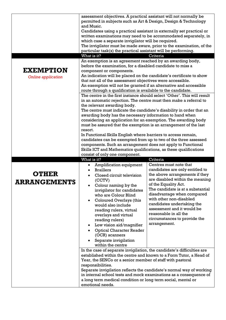|                           | assessment objectives. A practical assistant will not normally be                                                                          |                                   |  |
|---------------------------|--------------------------------------------------------------------------------------------------------------------------------------------|-----------------------------------|--|
|                           | permitted in subjects such as Art & Design, Design & Technology                                                                            |                                   |  |
|                           | and Music.                                                                                                                                 |                                   |  |
|                           | Candidates using a practical assistant in externally set practical or                                                                      |                                   |  |
|                           | written examinations may need to be accommodated separately, in                                                                            |                                   |  |
|                           | which case a separate invigilator will be required.                                                                                        |                                   |  |
|                           | The invigilator must be made aware, prior to the examination, of the                                                                       |                                   |  |
|                           | particular task(s) the practical assistant will be performing.                                                                             |                                   |  |
|                           | What is it?                                                                                                                                | Criteria                          |  |
|                           | An exemption is an agreement reached by an awarding body,                                                                                  |                                   |  |
| <b>EXEMPTION</b>          | before the examination, for a disabled candidate to miss a                                                                                 |                                   |  |
|                           | component or components.                                                                                                                   |                                   |  |
| <b>Online application</b> | An indication will be placed on the candidate's certificate to show<br>that not all of the assessment objectives were accessible.          |                                   |  |
|                           | An exemption will not be granted if an alternative and accessible                                                                          |                                   |  |
|                           | route through a qualification is available to the candidate.                                                                               |                                   |  |
|                           | The centre in the first instance should select 'Other'. This will result                                                                   |                                   |  |
|                           | in an automatic rejection. The centre must then make a referral to                                                                         |                                   |  |
|                           | the relevant awarding body.                                                                                                                |                                   |  |
|                           | The centre must indicate the candidate's disability in order that an                                                                       |                                   |  |
|                           | awarding body has the necessary information to hand when                                                                                   |                                   |  |
|                           | considering an application for an exemption. The awarding body                                                                             |                                   |  |
|                           | must be assured that the exemption is an arrangement of the last                                                                           |                                   |  |
|                           | resort.                                                                                                                                    |                                   |  |
|                           | In Functional Skills English where barriers to access remain,                                                                              |                                   |  |
|                           | candidates can be exempted from up to two of the three assessed<br>components. Such an arrangement does not apply to Functional            |                                   |  |
|                           |                                                                                                                                            |                                   |  |
|                           | Skills ICT and Mathematics qualifications, as these qualifications<br>consist of only one component.                                       |                                   |  |
|                           | What is it?                                                                                                                                | Criteria                          |  |
|                           | Amplification equipment                                                                                                                    | Centres must note that            |  |
|                           | <b>Braillers</b>                                                                                                                           | candidates are only entitled to   |  |
| <b>OTHER</b>              | Closed circuit television                                                                                                                  | the above arrangements if they    |  |
|                           | (CCTV)                                                                                                                                     | are disabled within the meaning   |  |
| <u>ARRANGEMENTS</u>       | Colour naming by the                                                                                                                       | of the Equality Act.              |  |
|                           | invigilator for candidates                                                                                                                 | The candidate is at a substantial |  |
|                           | who are Colour Blind                                                                                                                       | disadvantage when compared        |  |
|                           | Coloured Overlays (this                                                                                                                    | with other non-disabled           |  |
|                           | would also include                                                                                                                         | candidates undertaking the        |  |
|                           | reading rulers, virtual                                                                                                                    | assessment and it would be        |  |
|                           | overlays and virtual                                                                                                                       | reasonable in all the             |  |
|                           | reading rulers)                                                                                                                            | circumstances to provide the      |  |
|                           | Low vision aid/magnifier                                                                                                                   | arrangement.                      |  |
|                           | <b>Optical Character Reader</b>                                                                                                            |                                   |  |
|                           | (OCR) scanners                                                                                                                             |                                   |  |
|                           | Separate invigilation                                                                                                                      |                                   |  |
|                           | within the centre                                                                                                                          |                                   |  |
|                           | In the case of separate invigilation, the candidate's difficulties are                                                                     |                                   |  |
|                           | established within the centre and known to a Form Tutor, a Head of                                                                         |                                   |  |
|                           | Year, the SENCo or a senior member of staff with pastoral<br>responsibilities.                                                             |                                   |  |
|                           |                                                                                                                                            |                                   |  |
|                           | Separate invigilation reflects the candidate's normal way of working<br>in internal school tests and mock examinations as a consequence of |                                   |  |
|                           | a long term medical condition or long term social, mental or                                                                               |                                   |  |
|                           | emotional needs.                                                                                                                           |                                   |  |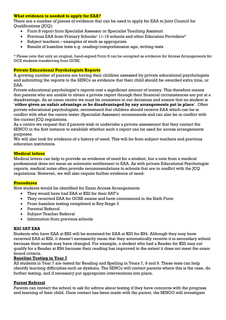# **What evidence is needed to apply for EAA?**

There are a number of pieces of evidence that can be used to apply for EAA to Joint Council for Qualifications (JCQ):

- Form 8 report from Specialist Assessor or Specialist Teaching Assistant
- Previous EAA from Primary Schools/ 11-16 schools and other Education Providers\*
- Subject teachers examples of work as appropriate
- Results of baseline tests e.g. reading/comprehension age, writing tests

\* Please note that only an original, hand-signed Form 8 can be accepted as evidence for Access Arrangements for GCE students transferring from GCSE.

#### **Private Educational Psychologists Reports**

A growing number of parents are having their children assessed by private educational psychologists and submitting the reports to the SENCo as evidence that their child should be awarded extra time, or EAA.

Private educational psychologist's reports cost a significant amount of money. This therefore means that parents who are unable to obtain a private report through their financial circumstances are put at a disadvantage. As an exam centre we must be consistent in our decisions and ensure that no student is '**either given an unfair advantage or be disadvantaged by any arrangements put in place**'. Often private educational psychologists, recommend that children should receive EAA which can be in conflict with what the centre tester (Specialist Assessor) recommends and can also be in conflict with the current JCQ regulations.

As a centre we request that if parents wish to undertake a private assessment that they contact the SENCO in the first instance to establish whether such a report can be used for access arrangements purposes.

We will also look for evidence of a history of need. This will be from subject teachers and previous education institutions.

#### **Medical letters**

Medical letters can help to provide an evidence of need for a student, but a note from a medical professional does not mean an automatic entitlement to EAA. As with private Educational Psychologist reports, medical notes often provide recommendations to schools that are in conflict with the JCQ regulations. However, we will also require further evidence of need.

#### **Procedures**

How students would be identified for Exam Access Arrangements:

- They would have had EAA at KS2 for their SAT's
- They received EAA for GCSE exams and have commenced in the Sixth Form
- From baseline testing completed in Key Stage 3
- Parental Referral
- Subject Teacher Referral
- Information from previous schools

#### **KS2 SAT EAA**

Students who have EAA at KS2 will be screened for EAA at KS3 for KS4. Although they may have received EAA at KS2, it doesn't necessarily mean that they automatically receive it in secondary school because their needs may have changed. For example, a student who had a Reader for KS2 may not qualify for a Reader at KS4 because their reading has improved to the extent it does not meet the exam board criteria.

#### **Baseline Testing in Year 7**

All students in Year 7 are tested for Reading and Spelling in Years 7, 8 and 9. These tests can help identify learning difficulties such as dyslexia. The SENCo will contact parents where this is the case, do further testing, and if necessary put appropriate interventions into place.

# **Parent Referral**

Parents can contact the school to ask for advice about testing if they have concerns with the progress and learning of their child. Once contact has been made with the parent, the SENCO will investigate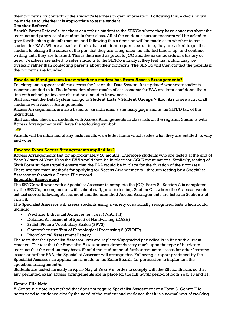their concerns by contacting the student's teachers to gain information. Following this, a decision will be made as to whether it is appropriate to test a student.

# **Teacher Referral**

As with Parent Referrals, teachers can refer a student to the SENCo where they have concerns about the learning and progress of a student in their class. All of the student's current teachers will be asked to give feedback to gain information, and following this a decision will be made as to whether to test a student for EAA. Where a teacher thinks that a student requires extra time, they are asked to get the student to change the colour of the pen that they are using once the allotted time is up, and continue writing until they are finished. This is then used as proof to JCQ and the exam boards of a history of need. Teachers are asked to refer students to the SENCo initially if they feel that a child may be dyslexic rather than contacting parents about their concerns. The SENCo will then contact the parents if the concerns are founded.

# **How do staff and parents know whether a student has Exam Access Arrangements?**

Teaching and support staff can access the list on the Data System. It is updated whenever students become entitled to it. The information about results of assessments for EAA are kept confidentially in line with school policy, are shared on a need to know basis.

Staff can visit the Data System and go to **Student Lists > Student Groups > Acc. Arr** to see a list of all students with Access Arrangements.

Access Arrangements are also listed on an individual's summary page and in the SEN/D tab of the individual.

Staff can also check on students with Access Arrangements in class lists on the register. Students with Access Arrangements will have the following symbol:

# Æ

Parents will be informed of any tests results via a letter home which states what they are entitled to, why and when.

# **How are Exam Access Arrangements applied for?**

Access Arrangements last for approximately 26 months. Therefore students who are tested at the end of Year 9 / start of Year 10 as the EAA would then be in place for GCSE examinations. Similarly, testing of Sixth Form students would ensure that the EAA would be in place for the duration of their courses. There are two main methods for applying for Access Arrangements – through testing by a Specialist Assessor or through a Centre File record.

#### **Specialist Assessment**

The SENCo will work with a Specialist Assessor to complete the JCQ 'Form 8'. Section A is completed by the SENCo, in conjunction with school staff, prior to testing. Section C is where the Assessor would list test scores following Assessment and the identified Access Arrangements are listed in Section B of Form 8.

The Specialist Assessor will assess students using a variety of nationally recognised tests which could include:

- Wechsler Individual Achievement Test (WIATT II)
- Detailed Assessment of Speed of Handwriting (DASH)
- British Picture Vocabulary Scales (BPVS)
- Comprehensive Test of Phonological Processing 2 (CTOPP)
- Phonological Assessment Battery

The tests that the Specialist Assessor uses are replaced/upgraded periodically in line with current practice. The test that the Specialist Assessor uses depends very much upon the type of barrier to learning that the student may have. Should the student need further testing to assess for other learning issues or further EAA, the Specialist Assessor will arrange this. Following a report produced by the Specialist Assessor an application is made to the Exam Boards for permission to implement the specified arrangement/s.

Students are tested formally in April/May of Year 9 in order to comply with the 26 month rule; so that any permitted exam access arrangements are in place for the full GCSE period of both Year 10 and 11.

# **Centre File Note**

A Centre file note is a method that does not require Specialist Assessment or a Form 8. Centre File notes need to evidence clearly the need of the student and evidence that it is a normal way of working